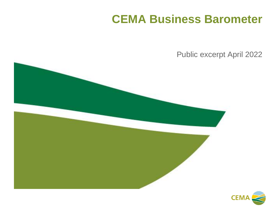## **CEMA Business Barometer**

Public excerpt April 2022



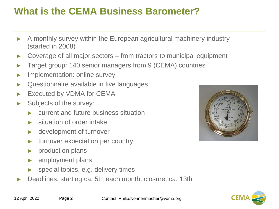### **What is the CEMA Business Barometer?**

- A monthly survey within the European agricultural machinery industry (started in 2008)
- Coverage of all major sectors from tractors to municipal equipment
- Target group: 140 senior managers from 9 (CEMA) countries
- Implementation: online survey
- Questionnaire available in five languages
- Executed by VDMA for CEMA
- Subjects of the survey:
	- current and future business situation
	- situation of order intake
	- ► development of turnover
	- ► turnover expectation per country
	- ► production plans
	- employment plans
	- special topics, e.g. delivery times
- Deadlines: starting ca. 5th each month, closure: ca. 13th



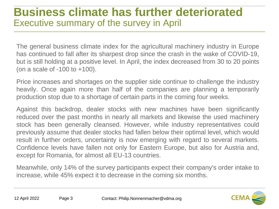## **Business climate has further deteriorated**  Executive summary of the survey in April

The general business climate index for the agricultural machinery industry in Europe has continued to fall after its sharpest drop since the crash in the wake of COVID-19, but is still holding at a positive level. In April, the index decreased from 30 to 20 points (on a scale of -100 to +100).

Price increases and shortages on the supplier side continue to challenge the industry heavily. Once again more than half of the companies are planning a temporarily production stop due to a shortage of certain parts in the coming four weeks.

Against this backdrop, dealer stocks with new machines have been significantly reduced over the past months in nearly all markets and likewise the used machinery stock has been generally cleansed. However, while industry representatives could previously assume that dealer stocks had fallen below their optimal level, which would result in further orders, uncertainty is now emerging with regard to several markets. Confidence levels have fallen not only for Eastern Europe, but also for Austria and, except for Romania, for almost all EU-13 countries.

Meanwhile, only 14% of the survey participants expect their company's order intake to increase, while 45% expect it to decrease in the coming six months.

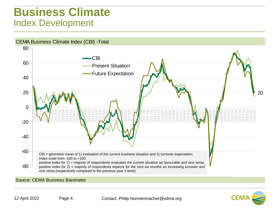### **Business Climate** Index Development



#### Source: CEMA Business Barometer

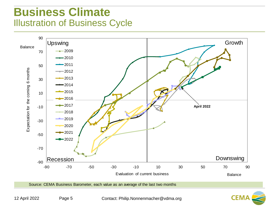## **Business Climate**  Illustration of Business Cycle



Source: CEMA Business Barometer, each value as an average of the last two months

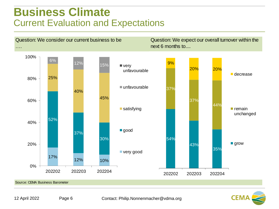### **Business Climate** Current Evaluation and Expectations



Source: CEMA Business Barometer